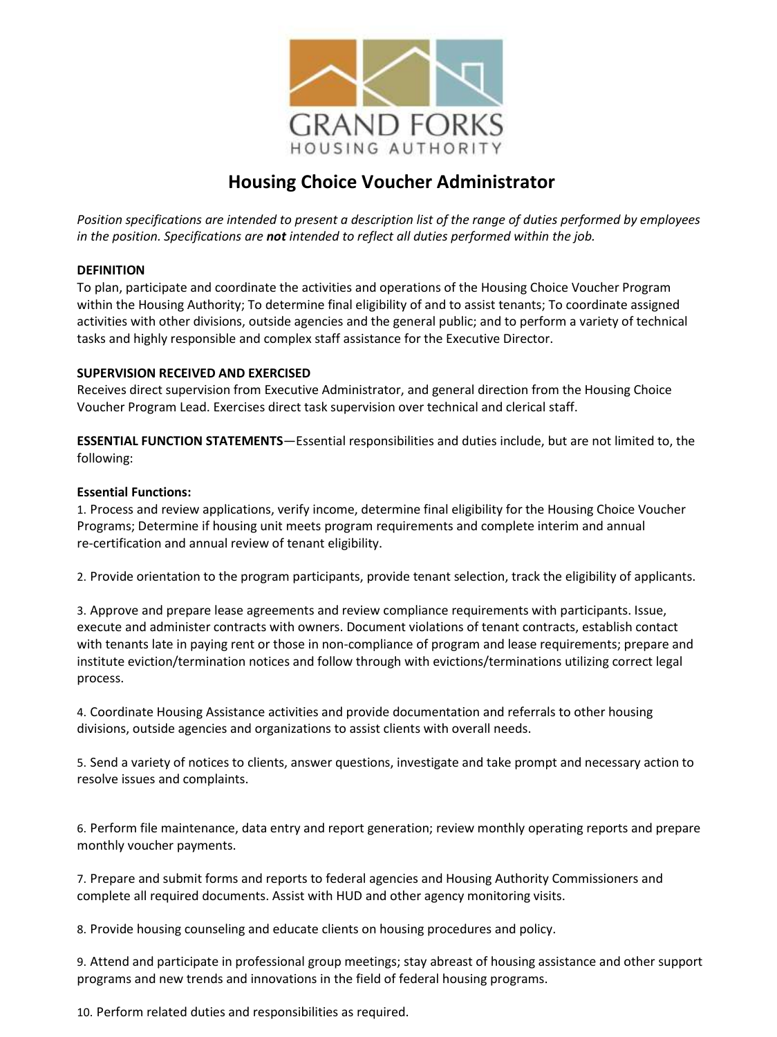

# **Housing Choice Voucher Administrator**

*Position specifications are intended to present a description list of the range of duties performed by employees in the position. Specifications are not intended to reflect all duties performed within the job.*

# **DEFINITION**

To plan, participate and coordinate the activities and operations of the Housing Choice Voucher Program within the Housing Authority; To determine final eligibility of and to assist tenants; To coordinate assigned activities with other divisions, outside agencies and the general public; and to perform a variety of technical tasks and highly responsible and complex staff assistance for the Executive Director.

# **SUPERVISION RECEIVED AND EXERCISED**

Receives direct supervision from Executive Administrator, and general direction from the Housing Choice Voucher Program Lead. Exercises direct task supervision over technical and clerical staff.

**ESSENTIAL FUNCTION STATEMENTS**—Essential responsibilities and duties include, but are not limited to, the following:

# **Essential Functions:**

1. Process and review applications, verify income, determine final eligibility for the Housing Choice Voucher Programs; Determine if housing unit meets program requirements and complete interim and annual re-certification and annual review of tenant eligibility.

2. Provide orientation to the program participants, provide tenant selection, track the eligibility of applicants.

3. Approve and prepare lease agreements and review compliance requirements with participants. Issue, execute and administer contracts with owners. Document violations of tenant contracts, establish contact with tenants late in paying rent or those in non-compliance of program and lease requirements; prepare and institute eviction/termination notices and follow through with evictions/terminations utilizing correct legal process.

4. Coordinate Housing Assistance activities and provide documentation and referrals to other housing divisions, outside agencies and organizations to assist clients with overall needs.

5. Send a variety of notices to clients, answer questions, investigate and take prompt and necessary action to resolve issues and complaints.

6. Perform file maintenance, data entry and report generation; review monthly operating reports and prepare monthly voucher payments.

7. Prepare and submit forms and reports to federal agencies and Housing Authority Commissioners and complete all required documents. Assist with HUD and other agency monitoring visits.

8. Provide housing counseling and educate clients on housing procedures and policy.

9. Attend and participate in professional group meetings; stay abreast of housing assistance and other support programs and new trends and innovations in the field of federal housing programs.

10. Perform related duties and responsibilities as required.